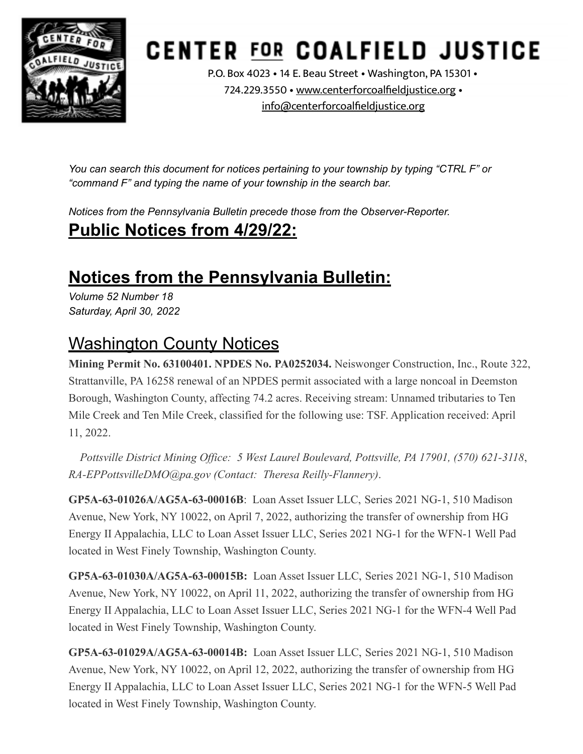

# **CENTER FOR COALFIELD JUSTICE**

P.O. Box 4023 • 14 E. Beau Street • Washington, PA 15301 • 724.229.3550 • [www.centerforcoalfieldjustice.org](http://www.centerforcoalfieldjustice.org) • [info@centerforcoalfieldjustice.org](mailto:info@centerforcoalfieldjustice.org)

*You can search this document for notices pertaining to your township by typing "CTRL F" or "command F" and typing the name of your township in the search bar.*

*Notices from the Pennsylvania Bulletin precede those from the Observer-Reporter.* **Public Notices from 4/29/22:**

### **Notices from the Pennsylvania Bulletin:**

*Volume 52 Number 18 Saturday, April 30, 2022*

#### Washington County Notices

**Mining Permit No. 63100401. NPDES No. PA0252034.** Neiswonger Construction, Inc., Route 322, Strattanville, PA 16258 renewal of an NPDES permit associated with a large noncoal in Deemston Borough, Washington County, affecting 74.2 acres. Receiving stream: Unnamed tributaries to Ten Mile Creek and Ten Mile Creek, classified for the following use: TSF. Application received: April 11, 2022.

*Pottsville District Mining Office: 5 West Laurel Boulevard, Pottsville, PA 17901, (570) 621-3118*, *RA-EPPottsvilleDMO@pa.gov (Contact: Theresa Reilly-Flannery)*.

**GP5A-63-01026A/AG5A-63-00016B**: Loan Asset Issuer LLC, Series 2021 NG-1, 510 Madison Avenue, New York, NY 10022, on April 7, 2022, authorizing the transfer of ownership from HG Energy II Appalachia, LLC to Loan Asset Issuer LLC, Series 2021 NG-1 for the WFN-1 Well Pad located in West Finely Township, Washington County.

**GP5A-63-01030A/AG5A-63-00015B:** Loan Asset Issuer LLC, Series 2021 NG-1, 510 Madison Avenue, New York, NY 10022, on April 11, 2022, authorizing the transfer of ownership from HG Energy II Appalachia, LLC to Loan Asset Issuer LLC, Series 2021 NG-1 for the WFN-4 Well Pad located in West Finely Township, Washington County.

**GP5A-63-01029A/AG5A-63-00014B:** Loan Asset Issuer LLC, Series 2021 NG-1, 510 Madison Avenue, New York, NY 10022, on April 12, 2022, authorizing the transfer of ownership from HG Energy II Appalachia, LLC to Loan Asset Issuer LLC, Series 2021 NG-1 for the WFN-5 Well Pad located in West Finely Township, Washington County.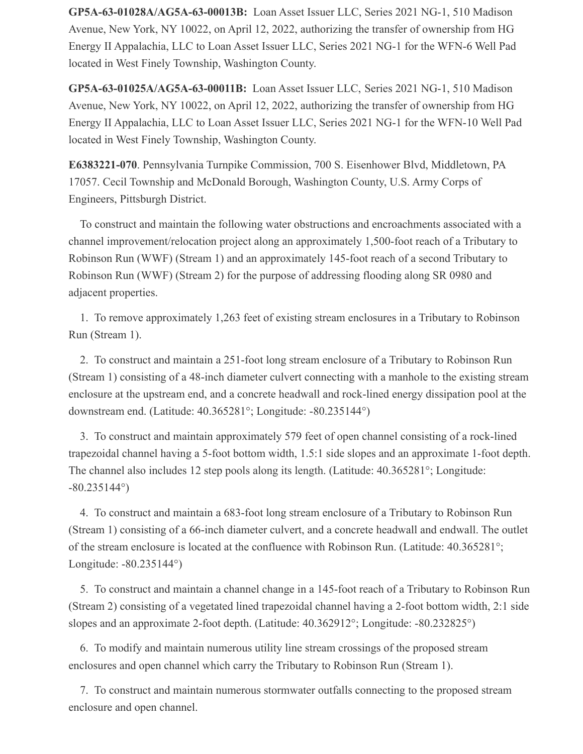**GP5A-63-01028A/AG5A-63-00013B:** Loan Asset Issuer LLC, Series 2021 NG-1, 510 Madison Avenue, New York, NY 10022, on April 12, 2022, authorizing the transfer of ownership from HG Energy II Appalachia, LLC to Loan Asset Issuer LLC, Series 2021 NG-1 for the WFN-6 Well Pad located in West Finely Township, Washington County.

**GP5A-63-01025A/AG5A-63-00011B:** Loan Asset Issuer LLC, Series 2021 NG-1, 510 Madison Avenue, New York, NY 10022, on April 12, 2022, authorizing the transfer of ownership from HG Energy II Appalachia, LLC to Loan Asset Issuer LLC, Series 2021 NG-1 for the WFN-10 Well Pad located in West Finely Township, Washington County.

**E6383221-070**. Pennsylvania Turnpike Commission, 700 S. Eisenhower Blvd, Middletown, PA 17057. Cecil Township and McDonald Borough, Washington County, U.S. Army Corps of Engineers, Pittsburgh District.

 To construct and maintain the following water obstructions and encroachments associated with a channel improvement/relocation project along an approximately 1,500-foot reach of a Tributary to Robinson Run (WWF) (Stream 1) and an approximately 145-foot reach of a second Tributary to Robinson Run (WWF) (Stream 2) for the purpose of addressing flooding along SR 0980 and adjacent properties.

 1. To remove approximately 1,263 feet of existing stream enclosures in a Tributary to Robinson Run (Stream 1).

 2. To construct and maintain a 251-foot long stream enclosure of a Tributary to Robinson Run (Stream 1) consisting of a 48-inch diameter culvert connecting with a manhole to the existing stream enclosure at the upstream end, and a concrete headwall and rock-lined energy dissipation pool at the downstream end. (Latitude: 40.365281°; Longitude: -80.235144°)

 3. To construct and maintain approximately 579 feet of open channel consisting of a rock-lined trapezoidal channel having a 5-foot bottom width, 1.5:1 side slopes and an approximate 1-foot depth. The channel also includes 12 step pools along its length. (Latitude: 40.365281°; Longitude: -80.235144°)

 4. To construct and maintain a 683-foot long stream enclosure of a Tributary to Robinson Run (Stream 1) consisting of a 66-inch diameter culvert, and a concrete headwall and endwall. The outlet of the stream enclosure is located at the confluence with Robinson Run. (Latitude: 40.365281°; Longitude: -80.235144°)

 5. To construct and maintain a channel change in a 145-foot reach of a Tributary to Robinson Run (Stream 2) consisting of a vegetated lined trapezoidal channel having a 2-foot bottom width, 2:1 side slopes and an approximate 2-foot depth. (Latitude: 40.362912°; Longitude: -80.232825°)

 6. To modify and maintain numerous utility line stream crossings of the proposed stream enclosures and open channel which carry the Tributary to Robinson Run (Stream 1).

 7. To construct and maintain numerous stormwater outfalls connecting to the proposed stream enclosure and open channel.